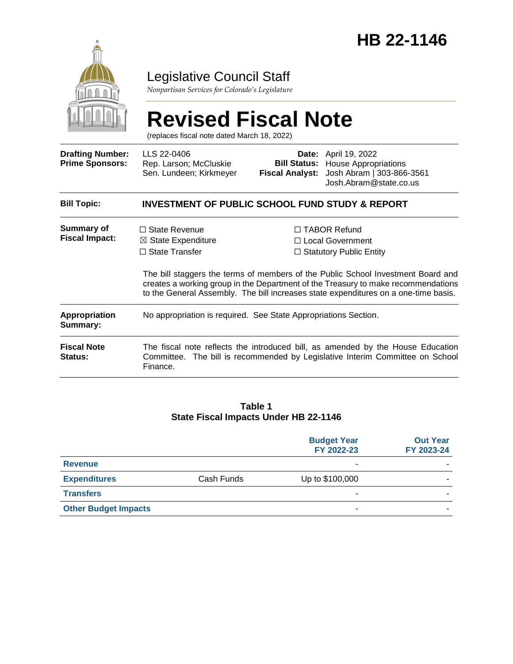

### Legislative Council Staff

*Nonpartisan Services for Colorado's Legislature*

# **Revised Fiscal Note**

(replaces fiscal note dated March 18, 2022)

| <b>Drafting Number:</b><br><b>Prime Sponsors:</b> | LLS 22-0406<br>Rep. Larson; McCluskie<br>Sen. Lundeen; Kirkmeyer                                                                                                                                                                                             | <b>Bill Status:</b><br><b>Fiscal Analyst:</b>                                    | <b>Date:</b> April 19, 2022<br><b>House Appropriations</b><br>Josh Abram   303-866-3561<br>Josh.Abram@state.co.us                                                |  |
|---------------------------------------------------|--------------------------------------------------------------------------------------------------------------------------------------------------------------------------------------------------------------------------------------------------------------|----------------------------------------------------------------------------------|------------------------------------------------------------------------------------------------------------------------------------------------------------------|--|
| <b>Bill Topic:</b>                                | <b>INVESTMENT OF PUBLIC SCHOOL FUND STUDY &amp; REPORT</b>                                                                                                                                                                                                   |                                                                                  |                                                                                                                                                                  |  |
| <b>Summary of</b><br><b>Fiscal Impact:</b>        | $\Box$ State Revenue<br>$\boxtimes$ State Expenditure<br>$\Box$ State Transfer                                                                                                                                                                               | $\Box$ TABOR Refund<br>$\Box$ Local Government<br>$\Box$ Statutory Public Entity |                                                                                                                                                                  |  |
|                                                   | The bill staggers the terms of members of the Public School Investment Board and<br>creates a working group in the Department of the Treasury to make recommendations<br>to the General Assembly. The bill increases state expenditures on a one-time basis. |                                                                                  |                                                                                                                                                                  |  |
| Appropriation<br>Summary:                         | No appropriation is required. See State Appropriations Section.                                                                                                                                                                                              |                                                                                  |                                                                                                                                                                  |  |
| <b>Fiscal Note</b><br>Status:                     | Finance.                                                                                                                                                                                                                                                     |                                                                                  | The fiscal note reflects the introduced bill, as amended by the House Education<br>Committee. The bill is recommended by Legislative Interim Committee on School |  |

#### **Table 1 State Fiscal Impacts Under HB 22-1146**

|                             |            | <b>Budget Year</b><br>FY 2022-23 | <b>Out Year</b><br>FY 2023-24 |
|-----------------------------|------------|----------------------------------|-------------------------------|
| <b>Revenue</b>              |            | ۰                                |                               |
| <b>Expenditures</b>         | Cash Funds | Up to \$100,000                  |                               |
| <b>Transfers</b>            |            | ۰                                |                               |
| <b>Other Budget Impacts</b> |            | ۰                                |                               |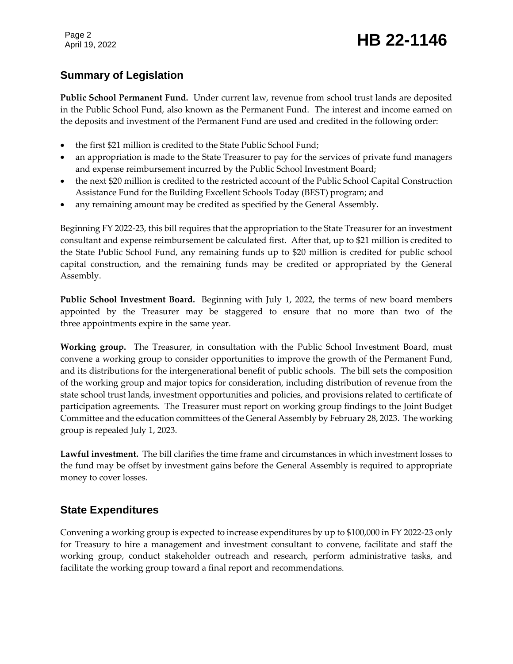Page 2

## Page 2<br>April 19, 2022 **HB 22-1146**

#### **Summary of Legislation**

**Public School Permanent Fund.** Under current law, revenue from school trust lands are deposited in the Public School Fund, also known as the Permanent Fund. The interest and income earned on the deposits and investment of the Permanent Fund are used and credited in the following order:

- the first \$21 million is credited to the State Public School Fund;
- an appropriation is made to the State Treasurer to pay for the services of private fund managers and expense reimbursement incurred by the Public School Investment Board;
- the next \$20 million is credited to the restricted account of the Public School Capital Construction Assistance Fund for the Building Excellent Schools Today (BEST) program; and
- any remaining amount may be credited as specified by the General Assembly.

Beginning FY 2022-23, this bill requires that the appropriation to the State Treasurer for an investment consultant and expense reimbursement be calculated first. After that, up to \$21 million is credited to the State Public School Fund, any remaining funds up to \$20 million is credited for public school capital construction, and the remaining funds may be credited or appropriated by the General Assembly.

**Public School Investment Board.** Beginning with July 1, 2022, the terms of new board members appointed by the Treasurer may be staggered to ensure that no more than two of the three appointments expire in the same year.

**Working group.** The Treasurer, in consultation with the Public School Investment Board, must convene a working group to consider opportunities to improve the growth of the Permanent Fund, and its distributions for the intergenerational benefit of public schools. The bill sets the composition of the working group and major topics for consideration, including distribution of revenue from the state school trust lands, investment opportunities and policies, and provisions related to certificate of participation agreements. The Treasurer must report on working group findings to the Joint Budget Committee and the education committees of the General Assembly by February 28, 2023. The working group is repealed July 1, 2023.

**Lawful investment.** The bill clarifies the time frame and circumstances in which investment losses to the fund may be offset by investment gains before the General Assembly is required to appropriate money to cover losses.

#### **State Expenditures**

Convening a working group is expected to increase expenditures by up to \$100,000 in FY 2022-23 only for Treasury to hire a management and investment consultant to convene, facilitate and staff the working group, conduct stakeholder outreach and research, perform administrative tasks, and facilitate the working group toward a final report and recommendations.